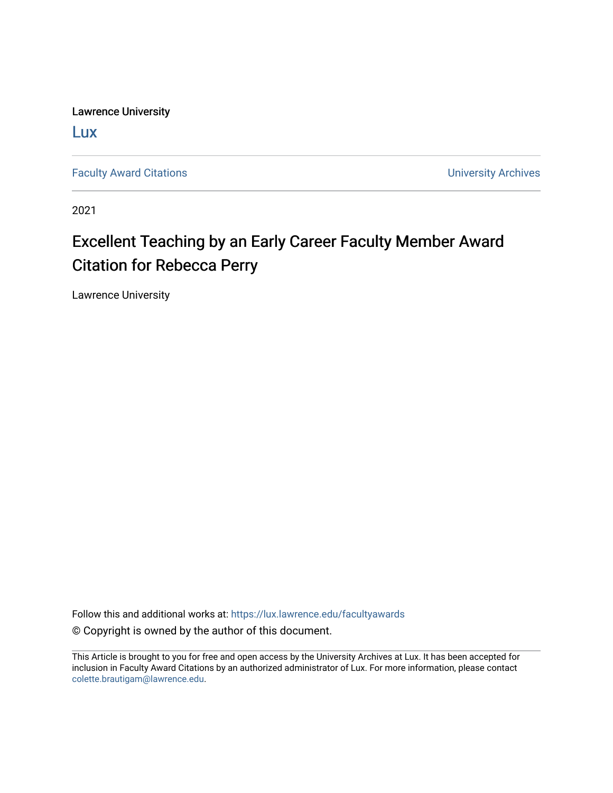Lawrence University

[Lux](https://lux.lawrence.edu/)

[Faculty Award Citations](https://lux.lawrence.edu/facultyawards) **Example 2018** 2019 12:30 Number 2019 12:30 Number 2019 12:30 Number 2019 12:30 Number 2019 12:30 Number 2019 12:30 Number 2019 12:30 Number 2019 12:30 Number 2019 12:30 Number 2019 12:30 Number 201

2021

## Excellent Teaching by an Early Career Faculty Member Award Citation for Rebecca Perry

Lawrence University

Follow this and additional works at: [https://lux.lawrence.edu/facultyawards](https://lux.lawrence.edu/facultyawards?utm_source=lux.lawrence.edu%2Ffacultyawards%2F214&utm_medium=PDF&utm_campaign=PDFCoverPages)  © Copyright is owned by the author of this document.

This Article is brought to you for free and open access by the University Archives at Lux. It has been accepted for inclusion in Faculty Award Citations by an authorized administrator of Lux. For more information, please contact [colette.brautigam@lawrence.edu.](mailto:colette.brautigam@lawrence.edu)